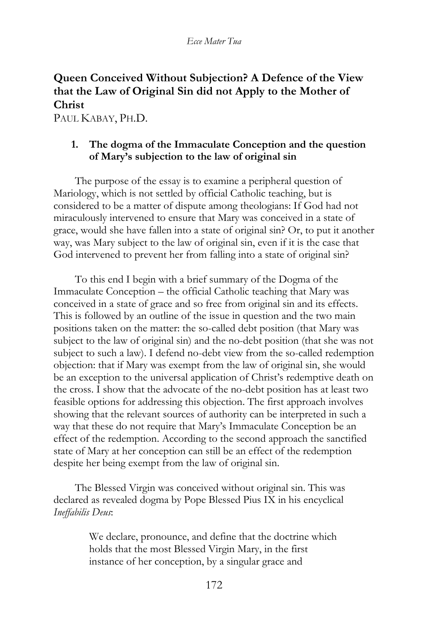# **Queen Conceived Without Subjection? A Defence of the View that the Law of Original Sin did not Apply to the Mother of Christ**

PAUL KABAY, PH.D.

# **1. The dogma of the Immaculate Conception and the question of Mary's subjection to the law of original sin**

The purpose of the essay is to examine a peripheral question of Mariology, which is not settled by official Catholic teaching, but is considered to be a matter of dispute among theologians: If God had not miraculously intervened to ensure that Mary was conceived in a state of grace, would she have fallen into a state of original sin? Or, to put it another way, was Mary subject to the law of original sin, even if it is the case that God intervened to prevent her from falling into a state of original sin?

To this end I begin with a brief summary of the Dogma of the Immaculate Conception – the official Catholic teaching that Mary was conceived in a state of grace and so free from original sin and its effects. This is followed by an outline of the issue in question and the two main positions taken on the matter: the so-called debt position (that Mary was subject to the law of original sin) and the no-debt position (that she was not subject to such a law). I defend no-debt view from the so-called redemption objection: that if Mary was exempt from the law of original sin, she would be an exception to the universal application of Christ's redemptive death on the cross. I show that the advocate of the no-debt position has at least two feasible options for addressing this objection. The first approach involves showing that the relevant sources of authority can be interpreted in such a way that these do not require that Mary's Immaculate Conception be an effect of the redemption. According to the second approach the sanctified state of Mary at her conception can still be an effect of the redemption despite her being exempt from the law of original sin.

The Blessed Virgin was conceived without original sin. This was declared as revealed dogma by Pope Blessed Pius IX in his encyclical *Ineffabilis Deus*:

> We declare, pronounce, and define that the doctrine which holds that the most Blessed Virgin Mary, in the first instance of her conception, by a singular grace and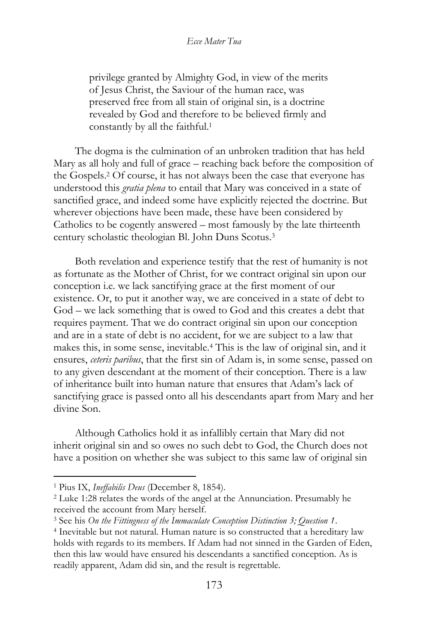privilege granted by Almighty God, in view of the merits of Jesus Christ, the Saviour of the human race, was preserved free from all stain of original sin, is a doctrine revealed by God and therefore to be believed firmly and constantly by all the faithful.<sup>1</sup>

The dogma is the culmination of an unbroken tradition that has held Mary as all holy and full of grace – reaching back before the composition of the Gospels.<sup>2</sup> Of course, it has not always been the case that everyone has understood this *gratia plena* to entail that Mary was conceived in a state of sanctified grace, and indeed some have explicitly rejected the doctrine. But wherever objections have been made, these have been considered by Catholics to be cogently answered – most famously by the late thirteenth century scholastic theologian Bl. John Duns Scotus.<sup>3</sup>

Both revelation and experience testify that the rest of humanity is not as fortunate as the Mother of Christ, for we contract original sin upon our conception i.e. we lack sanctifying grace at the first moment of our existence. Or, to put it another way, we are conceived in a state of debt to God – we lack something that is owed to God and this creates a debt that requires payment. That we do contract original sin upon our conception and are in a state of debt is no accident, for we are subject to a law that makes this, in some sense, inevitable.<sup>4</sup> This is the law of original sin, and it ensures, *ceteris paribus*, that the first sin of Adam is, in some sense, passed on to any given descendant at the moment of their conception. There is a law of inheritance built into human nature that ensures that Adam's lack of sanctifying grace is passed onto all his descendants apart from Mary and her divine Son.

Although Catholics hold it as infallibly certain that Mary did not inherit original sin and so owes no such debt to God, the Church does not have a position on whether she was subject to this same law of original sin

<sup>1</sup> Pius IX, *Ineffabilis Deus* (December 8, 1854).

<sup>2</sup> Luke 1:28 relates the words of the angel at the Annunciation. Presumably he received the account from Mary herself.

<sup>3</sup> See his *On the Fittingness of the Immaculate Conception Distinction 3; Question 1*.

<sup>4</sup> Inevitable but not natural. Human nature is so constructed that a hereditary law holds with regards to its members. If Adam had not sinned in the Garden of Eden, then this law would have ensured his descendants a sanctified conception. As is readily apparent, Adam did sin, and the result is regrettable.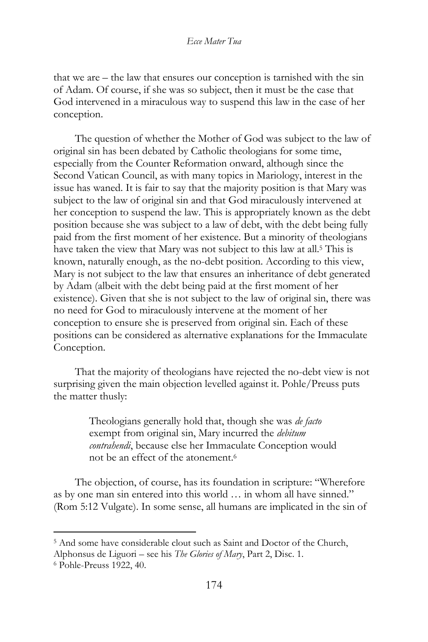that we are – the law that ensures our conception is tarnished with the sin of Adam. Of course, if she was so subject, then it must be the case that God intervened in a miraculous way to suspend this law in the case of her conception.

The question of whether the Mother of God was subject to the law of original sin has been debated by Catholic theologians for some time, especially from the Counter Reformation onward, although since the Second Vatican Council, as with many topics in Mariology, interest in the issue has waned. It is fair to say that the majority position is that Mary was subject to the law of original sin and that God miraculously intervened at her conception to suspend the law. This is appropriately known as the debt position because she was subject to a law of debt, with the debt being fully paid from the first moment of her existence. But a minority of theologians have taken the view that Mary was not subject to this law at all.<sup>5</sup> This is known, naturally enough, as the no-debt position. According to this view, Mary is not subject to the law that ensures an inheritance of debt generated by Adam (albeit with the debt being paid at the first moment of her existence). Given that she is not subject to the law of original sin, there was no need for God to miraculously intervene at the moment of her conception to ensure she is preserved from original sin. Each of these positions can be considered as alternative explanations for the Immaculate Conception.

That the majority of theologians have rejected the no-debt view is not surprising given the main objection levelled against it. Pohle/Preuss puts the matter thusly:

> Theologians generally hold that, though she was *de facto* exempt from original sin, Mary incurred the *debitum contrahendi*, because else her Immaculate Conception would not be an effect of the atonement<sup>6</sup>

The objection, of course, has its foundation in scripture: "Wherefore as by one man sin entered into this world … in whom all have sinned." (Rom 5:12 Vulgate). In some sense, all humans are implicated in the sin of

<sup>5</sup> And some have considerable clout such as Saint and Doctor of the Church,

Alphonsus de Liguori – see his *The Glories of Mary*, Part 2, Disc. 1.

<sup>6</sup> Pohle-Preuss 1922, 40.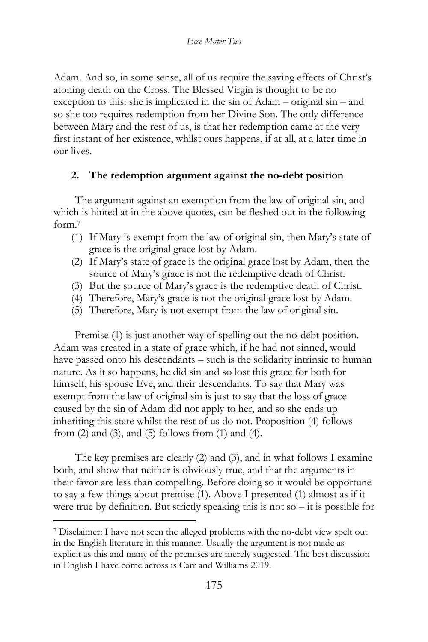Adam. And so, in some sense, all of us require the saving effects of Christ's atoning death on the Cross. The Blessed Virgin is thought to be no exception to this: she is implicated in the sin of Adam – original sin – and so she too requires redemption from her Divine Son. The only difference between Mary and the rest of us, is that her redemption came at the very first instant of her existence, whilst ours happens, if at all, at a later time in our lives.

# **2. The redemption argument against the no-debt position**

The argument against an exemption from the law of original sin, and which is hinted at in the above quotes, can be fleshed out in the following form.<sup>7</sup>

- (1) If Mary is exempt from the law of original sin, then Mary's state of grace is the original grace lost by Adam.
- (2) If Mary's state of grace is the original grace lost by Adam, then the source of Mary's grace is not the redemptive death of Christ.
- (3) But the source of Mary's grace is the redemptive death of Christ.
- (4) Therefore, Mary's grace is not the original grace lost by Adam.
- (5) Therefore, Mary is not exempt from the law of original sin.

Premise (1) is just another way of spelling out the no-debt position. Adam was created in a state of grace which, if he had not sinned, would have passed onto his descendants – such is the solidarity intrinsic to human nature. As it so happens, he did sin and so lost this grace for both for himself, his spouse Eve, and their descendants. To say that Mary was exempt from the law of original sin is just to say that the loss of grace caused by the sin of Adam did not apply to her, and so she ends up inheriting this state whilst the rest of us do not. Proposition (4) follows from (2) and (3), and (5) follows from (1) and (4).

The key premises are clearly (2) and (3), and in what follows I examine both, and show that neither is obviously true, and that the arguments in their favor are less than compelling. Before doing so it would be opportune to say a few things about premise (1). Above I presented (1) almost as if it were true by definition. But strictly speaking this is not so – it is possible for

<sup>7</sup> Disclaimer: I have not seen the alleged problems with the no-debt view spelt out in the English literature in this manner. Usually the argument is not made as explicit as this and many of the premises are merely suggested. The best discussion in English I have come across is Carr and Williams 2019.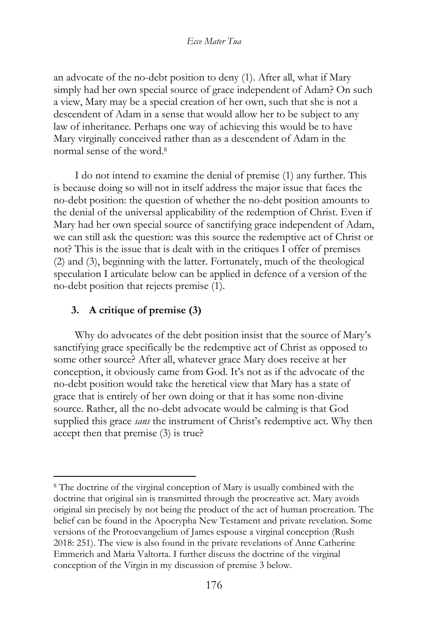an advocate of the no-debt position to deny (1). After all, what if Mary simply had her own special source of grace independent of Adam? On such a view, Mary may be a special creation of her own, such that she is not a descendent of Adam in a sense that would allow her to be subject to any law of inheritance. Perhaps one way of achieving this would be to have Mary virginally conceived rather than as a descendent of Adam in the normal sense of the word.<sup>8</sup>

I do not intend to examine the denial of premise (1) any further. This is because doing so will not in itself address the major issue that faces the no-debt position: the question of whether the no-debt position amounts to the denial of the universal applicability of the redemption of Christ. Even if Mary had her own special source of sanctifying grace independent of Adam, we can still ask the question: was this source the redemptive act of Christ or not? This is the issue that is dealt with in the critiques I offer of premises (2) and (3), beginning with the latter. Fortunately, much of the theological speculation I articulate below can be applied in defence of a version of the no-debt position that rejects premise (1).

### **3. A critique of premise (3)**

Why do advocates of the debt position insist that the source of Mary's sanctifying grace specifically be the redemptive act of Christ as opposed to some other source? After all, whatever grace Mary does receive at her conception, it obviously came from God. It's not as if the advocate of the no-debt position would take the heretical view that Mary has a state of grace that is entirely of her own doing or that it has some non-divine source. Rather, all the no-debt advocate would be calming is that God supplied this grace *sans* the instrument of Christ's redemptive act. Why then accept then that premise (3) is true?

<sup>8</sup> The doctrine of the virginal conception of Mary is usually combined with the doctrine that original sin is transmitted through the procreative act. Mary avoids original sin precisely by not being the product of the act of human procreation. The belief can be found in the Apocrypha New Testament and private revelation. Some versions of the Protoevangelium of James espouse a virginal conception (Rush 2018: 251). The view is also found in the private revelations of Anne Catherine Emmerich and Maria Valtorta. I further discuss the doctrine of the virginal conception of the Virgin in my discussion of premise 3 below.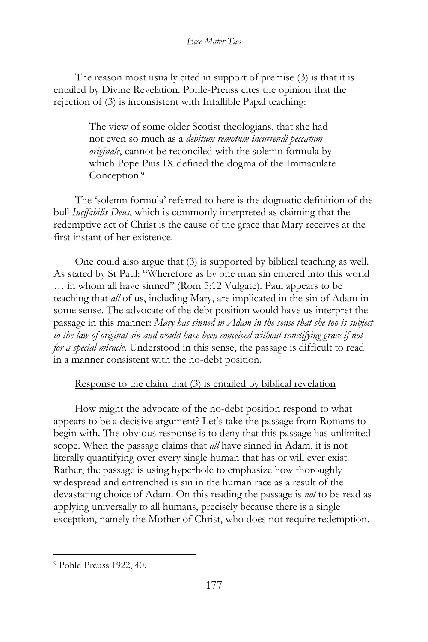The reason most usually cited in support of premise (3) is that it is entailed by Divine Revelation. Pohle-Preuss cites the opinion that the rejection of (3) is inconsistent with Infallible Papal teaching:

> The view of some older Scotist theologians, that she had not even so much as a *debitum remotum incurrendi peccatum originale*, cannot be reconciled with the solemn formula by which Pope Pius IX defined the dogma of the Immaculate Conception.<sup>9</sup>

The 'solemn formula' referred to here is the dogmatic definition of the bull *Ineffabilis Deus*, which is commonly interpreted as claiming that the redemptive act of Christ is the cause of the grace that Mary receives at the first instant of her existence.

One could also argue that (3) is supported by biblical teaching as well. As stated by St Paul: "Wherefore as by one man sin entered into this world … in whom all have sinned" (Rom 5:12 Vulgate). Paul appears to be teaching that *all* of us, including Mary, are implicated in the sin of Adam in some sense. The advocate of the debt position would have us interpret the passage in this manner: *Mary has sinned in Adam in the sense that she too is subject to the law of original sin and would have been conceived without sanctifying grace if not for a special miracle*. Understood in this sense, the passage is difficult to read in a manner consistent with the no-debt position.

# Response to the claim that (3) is entailed by biblical revelation

How might the advocate of the no-debt position respond to what appears to be a decisive argument? Let's take the passage from Romans to begin with. The obvious response is to deny that this passage has unlimited scope. When the passage claims that *all* have sinned in Adam, it is not literally quantifying over every single human that has or will ever exist. Rather, the passage is using hyperbole to emphasize how thoroughly widespread and entrenched is sin in the human race as a result of the devastating choice of Adam. On this reading the passage is *not* to be read as applying universally to all humans, precisely because there is a single exception, namely the Mother of Christ, who does not require redemption.

<sup>9</sup> Pohle-Preuss 1922, 40.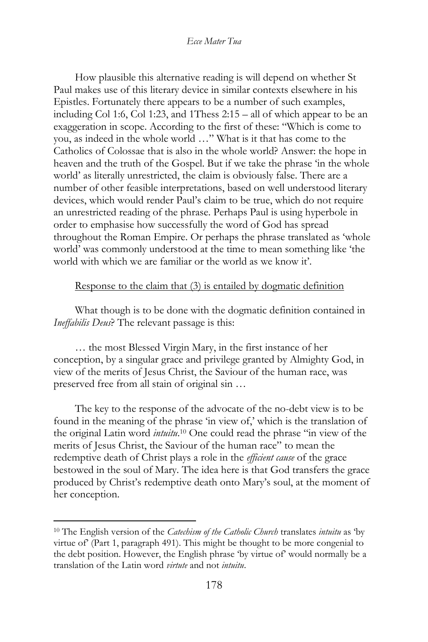How plausible this alternative reading is will depend on whether St Paul makes use of this literary device in similar contexts elsewhere in his Epistles. Fortunately there appears to be a number of such examples, including Col 1:6, Col 1:23, and 1Thess 2:15 – all of which appear to be an exaggeration in scope. According to the first of these: "Which is come to you, as indeed in the whole world …" What is it that has come to the Catholics of Colossae that is also in the whole world? Answer: the hope in heaven and the truth of the Gospel. But if we take the phrase 'in the whole world' as literally unrestricted, the claim is obviously false. There are a number of other feasible interpretations, based on well understood literary devices, which would render Paul's claim to be true, which do not require an unrestricted reading of the phrase. Perhaps Paul is using hyperbole in order to emphasise how successfully the word of God has spread throughout the Roman Empire. Or perhaps the phrase translated as 'whole world' was commonly understood at the time to mean something like 'the world with which we are familiar or the world as we know it'.

# Response to the claim that (3) is entailed by dogmatic definition

What though is to be done with the dogmatic definition contained in *Ineffabilis Deus*? The relevant passage is this:

… the most Blessed Virgin Mary, in the first instance of her conception, by a singular grace and privilege granted by Almighty God, in view of the merits of Jesus Christ, the Saviour of the human race, was preserved free from all stain of original sin …

The key to the response of the advocate of the no-debt view is to be found in the meaning of the phrase 'in view of,' which is the translation of the original Latin word *intuitu*. <sup>10</sup> One could read the phrase "in view of the merits of Jesus Christ, the Saviour of the human race" to mean the redemptive death of Christ plays a role in the *efficient cause* of the grace bestowed in the soul of Mary. The idea here is that God transfers the grace produced by Christ's redemptive death onto Mary's soul, at the moment of her conception.

<sup>10</sup> The English version of the *Catechism of the Catholic Church* translates *intuitu* as 'by virtue of' (Part 1, paragraph 491). This might be thought to be more congenial to the debt position. However, the English phrase 'by virtue of' would normally be a translation of the Latin word *virtute* and not *intuitu*.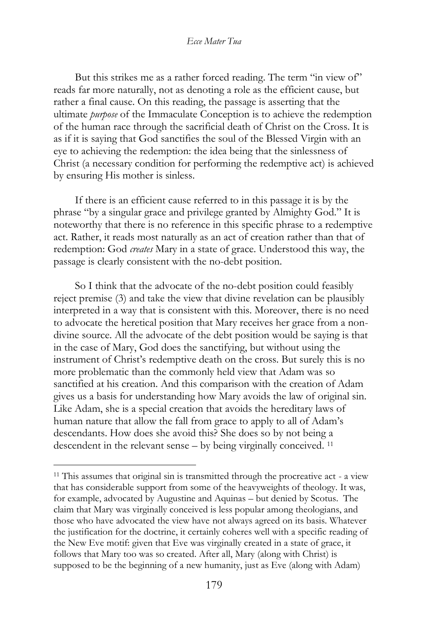But this strikes me as a rather forced reading. The term "in view of" reads far more naturally, not as denoting a role as the efficient cause, but rather a final cause. On this reading, the passage is asserting that the ultimate *purpose* of the Immaculate Conception is to achieve the redemption of the human race through the sacrificial death of Christ on the Cross. It is as if it is saying that God sanctifies the soul of the Blessed Virgin with an eye to achieving the redemption: the idea being that the sinlessness of Christ (a necessary condition for performing the redemptive act) is achieved by ensuring His mother is sinless.

If there is an efficient cause referred to in this passage it is by the phrase "by a singular grace and privilege granted by Almighty God." It is noteworthy that there is no reference in this specific phrase to a redemptive act. Rather, it reads most naturally as an act of creation rather than that of redemption: God *creates* Mary in a state of grace. Understood this way, the passage is clearly consistent with the no-debt position.

So I think that the advocate of the no-debt position could feasibly reject premise (3) and take the view that divine revelation can be plausibly interpreted in a way that is consistent with this. Moreover, there is no need to advocate the heretical position that Mary receives her grace from a nondivine source. All the advocate of the debt position would be saying is that in the case of Mary, God does the sanctifying, but without using the instrument of Christ's redemptive death on the cross. But surely this is no more problematic than the commonly held view that Adam was so sanctified at his creation. And this comparison with the creation of Adam gives us a basis for understanding how Mary avoids the law of original sin. Like Adam, she is a special creation that avoids the hereditary laws of human nature that allow the fall from grace to apply to all of Adam's descendants. How does she avoid this? She does so by not being a descendent in the relevant sense – by being virginally conceived. <sup>11</sup>

<sup>11</sup> This assumes that original sin is transmitted through the procreative act - a view that has considerable support from some of the heavyweights of theology. It was, for example, advocated by Augustine and Aquinas – but denied by Scotus. The claim that Mary was virginally conceived is less popular among theologians, and those who have advocated the view have not always agreed on its basis. Whatever the justification for the doctrine, it certainly coheres well with a specific reading of the New Eve motif: given that Eve was virginally created in a state of grace, it follows that Mary too was so created. After all, Mary (along with Christ) is supposed to be the beginning of a new humanity, just as Eve (along with Adam)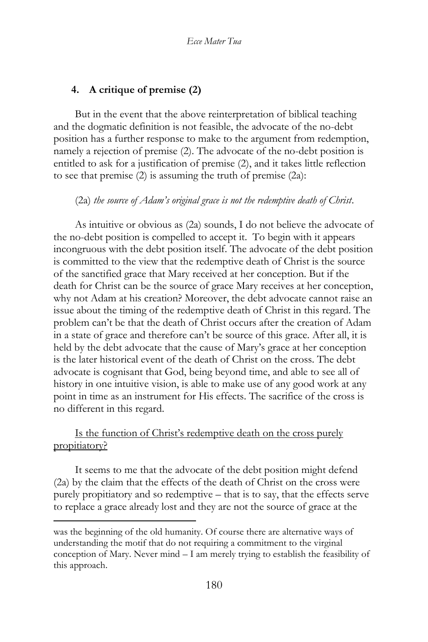# **4. A critique of premise (2)**

But in the event that the above reinterpretation of biblical teaching and the dogmatic definition is not feasible, the advocate of the no-debt position has a further response to make to the argument from redemption, namely a rejection of premise (2). The advocate of the no-debt position is entitled to ask for a justification of premise (2), and it takes little reflection to see that premise (2) is assuming the truth of premise (2a):

#### (2a) *the source of Adam's original grace is not the redemptive death of Christ*.

As intuitive or obvious as (2a) sounds, I do not believe the advocate of the no-debt position is compelled to accept it. To begin with it appears incongruous with the debt position itself. The advocate of the debt position is committed to the view that the redemptive death of Christ is the source of the sanctified grace that Mary received at her conception. But if the death for Christ can be the source of grace Mary receives at her conception, why not Adam at his creation? Moreover, the debt advocate cannot raise an issue about the timing of the redemptive death of Christ in this regard. The problem can't be that the death of Christ occurs after the creation of Adam in a state of grace and therefore can't be source of this grace. After all, it is held by the debt advocate that the cause of Mary's grace at her conception is the later historical event of the death of Christ on the cross. The debt advocate is cognisant that God, being beyond time, and able to see all of history in one intuitive vision, is able to make use of any good work at any point in time as an instrument for His effects. The sacrifice of the cross is no different in this regard.

# Is the function of Christ's redemptive death on the cross purely propitiatory?

It seems to me that the advocate of the debt position might defend (2a) by the claim that the effects of the death of Christ on the cross were purely propitiatory and so redemptive – that is to say, that the effects serve to replace a grace already lost and they are not the source of grace at the

was the beginning of the old humanity. Of course there are alternative ways of understanding the motif that do not requiring a commitment to the virginal conception of Mary. Never mind – I am merely trying to establish the feasibility of this approach.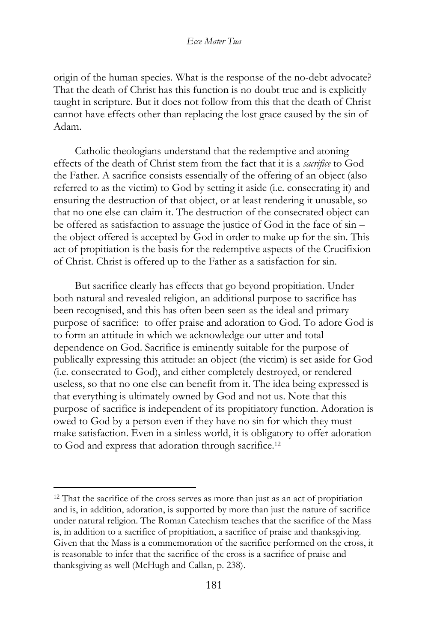origin of the human species. What is the response of the no-debt advocate? That the death of Christ has this function is no doubt true and is explicitly taught in scripture. But it does not follow from this that the death of Christ cannot have effects other than replacing the lost grace caused by the sin of Adam.

Catholic theologians understand that the redemptive and atoning effects of the death of Christ stem from the fact that it is a *sacrifice* to God the Father. A sacrifice consists essentially of the offering of an object (also referred to as the victim) to God by setting it aside (i.e. consecrating it) and ensuring the destruction of that object, or at least rendering it unusable, so that no one else can claim it. The destruction of the consecrated object can be offered as satisfaction to assuage the justice of God in the face of sin – the object offered is accepted by God in order to make up for the sin. This act of propitiation is the basis for the redemptive aspects of the Crucifixion of Christ. Christ is offered up to the Father as a satisfaction for sin.

But sacrifice clearly has effects that go beyond propitiation. Under both natural and revealed religion, an additional purpose to sacrifice has been recognised, and this has often been seen as the ideal and primary purpose of sacrifice: to offer praise and adoration to God. To adore God is to form an attitude in which we acknowledge our utter and total dependence on God. Sacrifice is eminently suitable for the purpose of publically expressing this attitude: an object (the victim) is set aside for God (i.e. consecrated to God), and either completely destroyed, or rendered useless, so that no one else can benefit from it. The idea being expressed is that everything is ultimately owned by God and not us. Note that this purpose of sacrifice is independent of its propitiatory function. Adoration is owed to God by a person even if they have no sin for which they must make satisfaction. Even in a sinless world, it is obligatory to offer adoration to God and express that adoration through sacrifice.<sup>12</sup>

<sup>&</sup>lt;sup>12</sup> That the sacrifice of the cross serves as more than just as an act of propitiation and is, in addition, adoration, is supported by more than just the nature of sacrifice under natural religion. The Roman Catechism teaches that the sacrifice of the Mass is, in addition to a sacrifice of propitiation, a sacrifice of praise and thanksgiving. Given that the Mass is a commemoration of the sacrifice performed on the cross, it is reasonable to infer that the sacrifice of the cross is a sacrifice of praise and thanksgiving as well (McHugh and Callan, p. 238).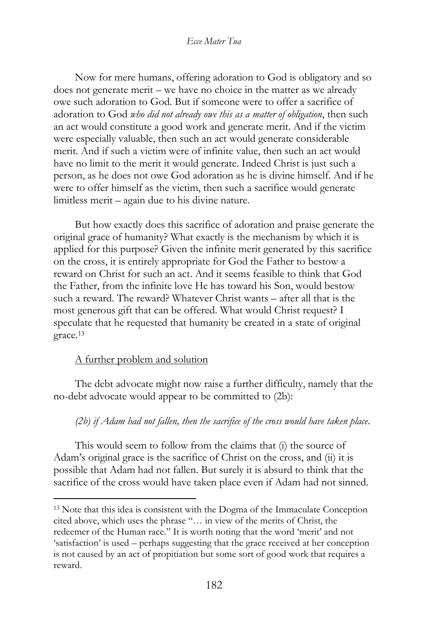Now for mere humans, offering adoration to God is obligatory and so does not generate merit – we have no choice in the matter as we already owe such adoration to God. But if someone were to offer a sacrifice of adoration to God *who did not already owe this as a matter of obligation*, then such an act would constitute a good work and generate merit. And if the victim were especially valuable, then such an act would generate considerable merit. And if such a victim were of infinite value, then such an act would have no limit to the merit it would generate. Indeed Christ is just such a person, as he does not owe God adoration as he is divine himself. And if he were to offer himself as the victim, then such a sacrifice would generate limitless merit – again due to his divine nature.

But how exactly does this sacrifice of adoration and praise generate the original grace of humanity? What exactly is the mechanism by which it is applied for this purpose? Given the infinite merit generated by this sacrifice on the cross, it is entirely appropriate for God the Father to bestow a reward on Christ for such an act. And it seems feasible to think that God the Father, from the infinite love He has toward his Son, would bestow such a reward. The reward? Whatever Christ wants – after all that is the most generous gift that can be offered. What would Christ request? I speculate that he requested that humanity be created in a state of original grace.<sup>13</sup>

# A further problem and solution

The debt advocate might now raise a further difficulty, namely that the no-debt advocate would appear to be committed to (2b):

# *(2b) if Adam had not fallen, then the sacrifice of the cross would have taken place*.

This would seem to follow from the claims that (i) the source of Adam's original grace is the sacrifice of Christ on the cross, and (ii) it is possible that Adam had not fallen. But surely it is absurd to think that the sacrifice of the cross would have taken place even if Adam had not sinned.

<sup>13</sup> Note that this idea is consistent with the Dogma of the Immaculate Conception cited above, which uses the phrase "… in view of the merits of Christ, the redeemer of the Human race." It is worth noting that the word 'merit' and not 'satisfaction' is used – perhaps suggesting that the grace received at her conception is not caused by an act of propitiation but some sort of good work that requires a reward.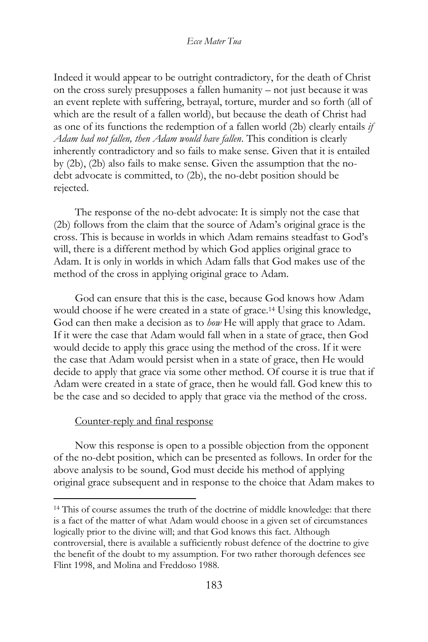Indeed it would appear to be outright contradictory, for the death of Christ on the cross surely presupposes a fallen humanity – not just because it was an event replete with suffering, betrayal, torture, murder and so forth (all of which are the result of a fallen world), but because the death of Christ had as one of its functions the redemption of a fallen world (2b) clearly entails *if Adam had not fallen, then Adam would have fallen*. This condition is clearly inherently contradictory and so fails to make sense. Given that it is entailed by (2b), (2b) also fails to make sense. Given the assumption that the nodebt advocate is committed, to (2b), the no-debt position should be rejected.

The response of the no-debt advocate: It is simply not the case that (2b) follows from the claim that the source of Adam's original grace is the cross. This is because in worlds in which Adam remains steadfast to God's will, there is a different method by which God applies original grace to Adam. It is only in worlds in which Adam falls that God makes use of the method of the cross in applying original grace to Adam.

God can ensure that this is the case, because God knows how Adam would choose if he were created in a state of grace.<sup>14</sup> Using this knowledge, God can then make a decision as to *how* He will apply that grace to Adam. If it were the case that Adam would fall when in a state of grace, then God would decide to apply this grace using the method of the cross. If it were the case that Adam would persist when in a state of grace, then He would decide to apply that grace via some other method. Of course it is true that if Adam were created in a state of grace, then he would fall. God knew this to be the case and so decided to apply that grace via the method of the cross.

#### Counter-reply and final response

Now this response is open to a possible objection from the opponent of the no-debt position, which can be presented as follows. In order for the above analysis to be sound, God must decide his method of applying original grace subsequent and in response to the choice that Adam makes to

<sup>14</sup> This of course assumes the truth of the doctrine of middle knowledge: that there is a fact of the matter of what Adam would choose in a given set of circumstances logically prior to the divine will; and that God knows this fact. Although controversial, there is available a sufficiently robust defence of the doctrine to give the benefit of the doubt to my assumption. For two rather thorough defences see Flint 1998, and Molina and Freddoso 1988.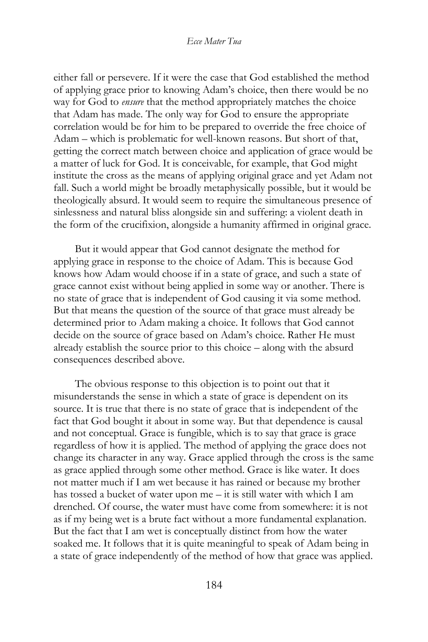either fall or persevere. If it were the case that God established the method of applying grace prior to knowing Adam's choice, then there would be no way for God to *ensure* that the method appropriately matches the choice that Adam has made. The only way for God to ensure the appropriate correlation would be for him to be prepared to override the free choice of Adam – which is problematic for well-known reasons. But short of that, getting the correct match between choice and application of grace would be a matter of luck for God. It is conceivable, for example, that God might institute the cross as the means of applying original grace and yet Adam not fall. Such a world might be broadly metaphysically possible, but it would be theologically absurd. It would seem to require the simultaneous presence of sinlessness and natural bliss alongside sin and suffering: a violent death in the form of the crucifixion, alongside a humanity affirmed in original grace.

But it would appear that God cannot designate the method for applying grace in response to the choice of Adam. This is because God knows how Adam would choose if in a state of grace, and such a state of grace cannot exist without being applied in some way or another. There is no state of grace that is independent of God causing it via some method. But that means the question of the source of that grace must already be determined prior to Adam making a choice. It follows that God cannot decide on the source of grace based on Adam's choice. Rather He must already establish the source prior to this choice – along with the absurd consequences described above.

The obvious response to this objection is to point out that it misunderstands the sense in which a state of grace is dependent on its source. It is true that there is no state of grace that is independent of the fact that God bought it about in some way. But that dependence is causal and not conceptual. Grace is fungible, which is to say that grace is grace regardless of how it is applied. The method of applying the grace does not change its character in any way. Grace applied through the cross is the same as grace applied through some other method. Grace is like water. It does not matter much if I am wet because it has rained or because my brother has tossed a bucket of water upon me – it is still water with which I am drenched. Of course, the water must have come from somewhere: it is not as if my being wet is a brute fact without a more fundamental explanation. But the fact that I am wet is conceptually distinct from how the water soaked me. It follows that it is quite meaningful to speak of Adam being in a state of grace independently of the method of how that grace was applied.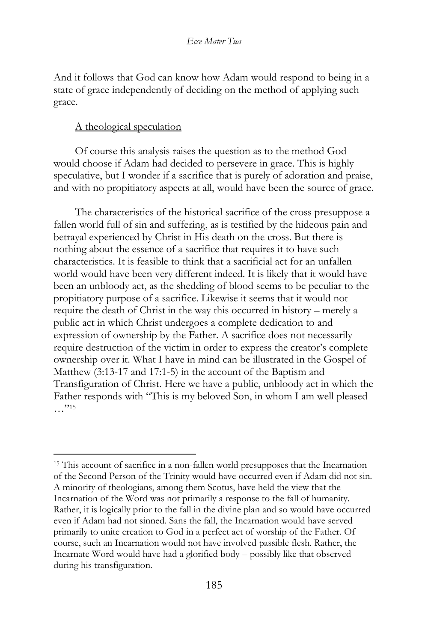And it follows that God can know how Adam would respond to being in a state of grace independently of deciding on the method of applying such grace.

### A theological speculation

Of course this analysis raises the question as to the method God would choose if Adam had decided to persevere in grace. This is highly speculative, but I wonder if a sacrifice that is purely of adoration and praise, and with no propitiatory aspects at all, would have been the source of grace.

The characteristics of the historical sacrifice of the cross presuppose a fallen world full of sin and suffering, as is testified by the hideous pain and betrayal experienced by Christ in His death on the cross. But there is nothing about the essence of a sacrifice that requires it to have such characteristics. It is feasible to think that a sacrificial act for an unfallen world would have been very different indeed. It is likely that it would have been an unbloody act, as the shedding of blood seems to be peculiar to the propitiatory purpose of a sacrifice. Likewise it seems that it would not require the death of Christ in the way this occurred in history – merely a public act in which Christ undergoes a complete dedication to and expression of ownership by the Father. A sacrifice does not necessarily require destruction of the victim in order to express the creator's complete ownership over it. What I have in mind can be illustrated in the Gospel of Matthew (3:13-17 and 17:1-5) in the account of the Baptism and Transfiguration of Christ. Here we have a public, unbloody act in which the Father responds with "This is my beloved Son, in whom I am well pleased  $\ldots$ "15

<sup>15</sup> This account of sacrifice in a non-fallen world presupposes that the Incarnation of the Second Person of the Trinity would have occurred even if Adam did not sin. A minority of theologians, among them Scotus, have held the view that the Incarnation of the Word was not primarily a response to the fall of humanity. Rather, it is logically prior to the fall in the divine plan and so would have occurred even if Adam had not sinned. Sans the fall, the Incarnation would have served primarily to unite creation to God in a perfect act of worship of the Father. Of course, such an Incarnation would not have involved passible flesh. Rather, the Incarnate Word would have had a glorified body – possibly like that observed during his transfiguration.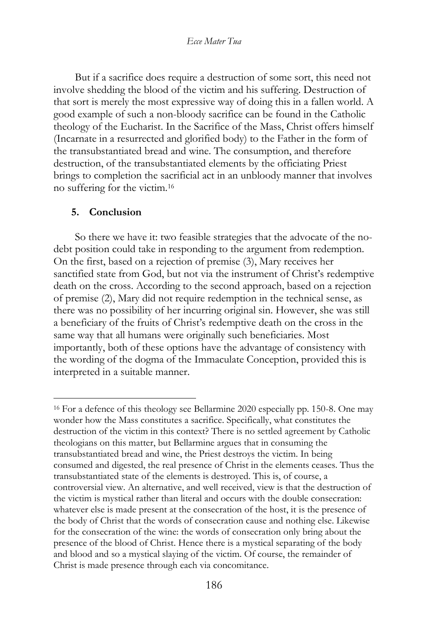But if a sacrifice does require a destruction of some sort, this need not involve shedding the blood of the victim and his suffering. Destruction of that sort is merely the most expressive way of doing this in a fallen world. A good example of such a non-bloody sacrifice can be found in the Catholic theology of the Eucharist. In the Sacrifice of the Mass, Christ offers himself (Incarnate in a resurrected and glorified body) to the Father in the form of the transubstantiated bread and wine. The consumption, and therefore destruction, of the transubstantiated elements by the officiating Priest brings to completion the sacrificial act in an unbloody manner that involves no suffering for the victim.<sup>16</sup>

### **5. Conclusion**

So there we have it: two feasible strategies that the advocate of the nodebt position could take in responding to the argument from redemption. On the first, based on a rejection of premise (3), Mary receives her sanctified state from God, but not via the instrument of Christ's redemptive death on the cross. According to the second approach, based on a rejection of premise (2), Mary did not require redemption in the technical sense, as there was no possibility of her incurring original sin. However, she was still a beneficiary of the fruits of Christ's redemptive death on the cross in the same way that all humans were originally such beneficiaries. Most importantly, both of these options have the advantage of consistency with the wording of the dogma of the Immaculate Conception, provided this is interpreted in a suitable manner.

<sup>16</sup> For a defence of this theology see Bellarmine 2020 especially pp. 150-8. One may wonder how the Mass constitutes a sacrifice. Specifically, what constitutes the destruction of the victim in this context? There is no settled agreement by Catholic theologians on this matter, but Bellarmine argues that in consuming the transubstantiated bread and wine, the Priest destroys the victim. In being consumed and digested, the real presence of Christ in the elements ceases. Thus the transubstantiated state of the elements is destroyed. This is, of course, a controversial view. An alternative, and well received, view is that the destruction of the victim is mystical rather than literal and occurs with the double consecration: whatever else is made present at the consecration of the host, it is the presence of the body of Christ that the words of consecration cause and nothing else. Likewise for the consecration of the wine: the words of consecration only bring about the presence of the blood of Christ. Hence there is a mystical separating of the body and blood and so a mystical slaying of the victim. Of course, the remainder of Christ is made presence through each via concomitance.